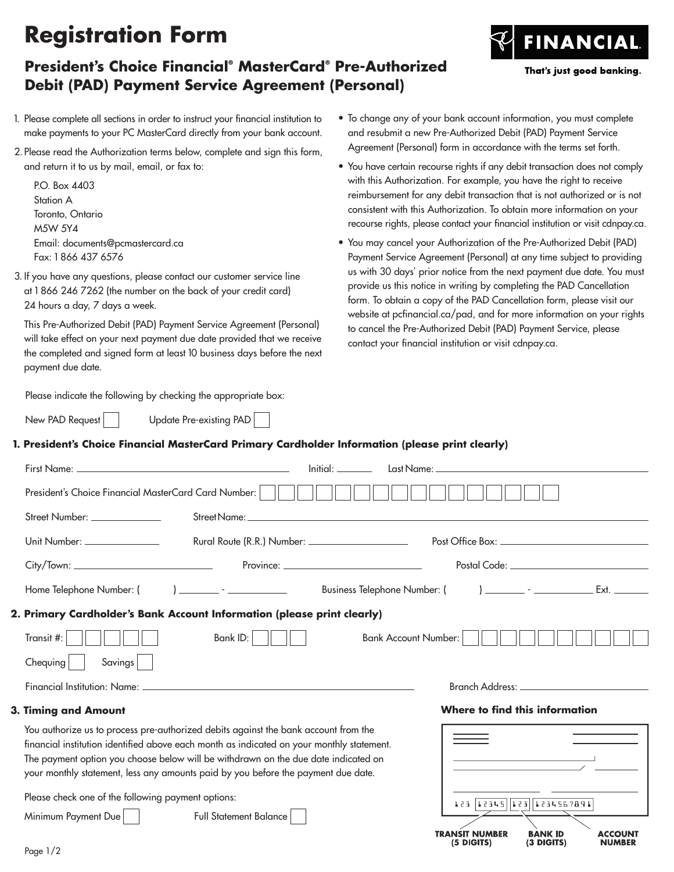# **Registration Form**

### **President's Choice Financial® MasterCard® Pre-Authorized Debit (PAD) Payment Service Agreement (Personal)**

- 1. Please complete all sections in order to instruct your financial institution to make payments to your PC MasterCard directly from your bank account.
- 2. Please read the Authorization terms below, complete and sign this form, and return it to us by mail, email, or fax to:

P.O. Box 4403 Station A Toronto, Ontario M5W 5Y4 Email: documents@pcmastercard.ca Fax: 1 866 437 6576

3. If you have any questions, please contact our customer service line at 1 866 246 7262 (the number on the back of your credit card) 24 hours a day, 7 days a week.

This Pre-Authorized Debit (PAD) Payment Service Agreement (Personal) will take effect on your next payment due date provided that we receive the completed and signed form at least 10 business days before the next payment due date.

Please indicate the following by checking the appropriate box:

New PAD Request | Update Pre-existing PAD

- To change any of your bank account information, you must complete and resubmit a new Pre-Authorized Debit (PAD) Payment Service Agreement (Personal) form in accordance with the terms set forth.
- You have certain recourse rights if any debit transaction does not comply with this Authorization. For example, you have the right to receive reimbursement for any debit transaction that is not authorized or is not consistent with this Authorization. To obtain more information on your recourse rights, please contact your financial institution or visit cdnpay.ca.
- You may cancel your Authorization of the Pre-Authorized Debit (PAD) Payment Service Agreement (Personal) at any time subject to providing us with 30 days' prior notice from the next payment due date. You must provide us this notice in writing by completing the PAD Cancellation form. To obtain a copy of the PAD Cancellation form, please visit our website at pcfinancial.ca/pad, and for more information on your rights to cancel the Pre-Authorized Debit (PAD) Payment Service, please contact your financial institution or visit cdnpay.ca.

#### **1. President's Choice Financial MasterCard Primary Cardholder Information (please print clearly)**

|                                                                                                                                                                                 | Initial: International | Last Name: The contract of the contract of the contract of the contract of the contract of the contract of the |                                                          |
|---------------------------------------------------------------------------------------------------------------------------------------------------------------------------------|------------------------|----------------------------------------------------------------------------------------------------------------|----------------------------------------------------------|
| President's Choice Financial MasterCard Card Number:                                                                                                                            |                        |                                                                                                                |                                                          |
| Street Number: ______________                                                                                                                                                   |                        |                                                                                                                |                                                          |
| <u> Unit Number: ______________</u>                                                                                                                                             |                        |                                                                                                                |                                                          |
|                                                                                                                                                                                 |                        |                                                                                                                | Postal Code: _________________________________           |
|                                                                                                                                                                                 |                        |                                                                                                                |                                                          |
| 2. Primary Cardholder's Bank Account Information (please print clearly)                                                                                                         |                        |                                                                                                                |                                                          |
| Bank $ D:$ $  $<br>Transit #:                                                                                                                                                   |                        | Bank Account Number:                                                                                           |                                                          |
| Savings<br>Chequing                                                                                                                                                             |                        |                                                                                                                |                                                          |
|                                                                                                                                                                                 |                        |                                                                                                                |                                                          |
| 3. Timing and Amount                                                                                                                                                            |                        |                                                                                                                | Where to find this information                           |
| You authorize us to process pre-authorized debits against the bank account from the                                                                                             |                        |                                                                                                                |                                                          |
| financial institution identified above each month as indicated on your monthly statement.<br>The payment option you choose below will be withdrawn on the due date indicated on |                        |                                                                                                                |                                                          |
| your monthly statement, less any amounts paid by you before the payment due date.                                                                                               |                        |                                                                                                                |                                                          |
| Please check one of the following payment options:                                                                                                                              |                        |                                                                                                                | 123 12345 123 1234567891                                 |
| Minimum Payment Due<br>Full Statement Balance                                                                                                                                   |                        |                                                                                                                |                                                          |
|                                                                                                                                                                                 |                        | <b>TRANSIT NUMBER</b><br>$(5$ DIGITS)                                                                          | <b>BANK ID</b><br>ACCOUNT<br>(3 DIGITS)<br><b>NUMBER</b> |

**FINANCIAL** 

That's just good banking.